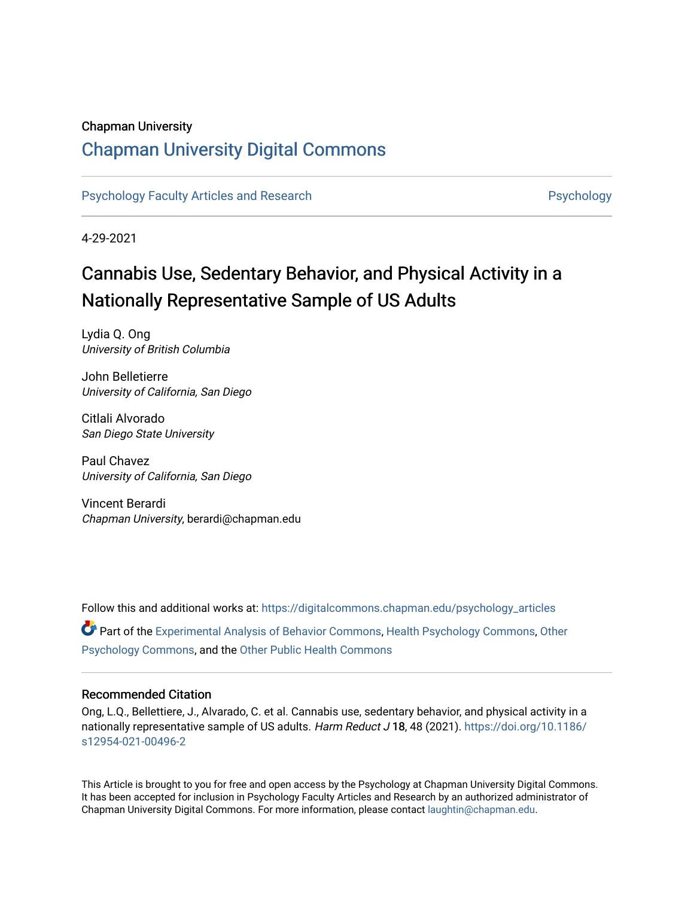## Chapman University

## [Chapman University Digital Commons](https://digitalcommons.chapman.edu/)

[Psychology Faculty Articles and Research](https://digitalcommons.chapman.edu/psychology_articles) **Provident Contact Article Structure** Psychology

4-29-2021

## Cannabis Use, Sedentary Behavior, and Physical Activity in a Nationally Representative Sample of US Adults

Lydia Q. Ong University of British Columbia

John Belletierre University of California, San Diego

Citlali Alvorado San Diego State University

Paul Chavez University of California, San Diego

Vincent Berardi Chapman University, berardi@chapman.edu

Follow this and additional works at: [https://digitalcommons.chapman.edu/psychology\\_articles](https://digitalcommons.chapman.edu/psychology_articles?utm_source=digitalcommons.chapman.edu%2Fpsychology_articles%2F245&utm_medium=PDF&utm_campaign=PDFCoverPages) Part of the [Experimental Analysis of Behavior Commons,](http://network.bepress.com/hgg/discipline/1236?utm_source=digitalcommons.chapman.edu%2Fpsychology_articles%2F245&utm_medium=PDF&utm_campaign=PDFCoverPages) [Health Psychology Commons](http://network.bepress.com/hgg/discipline/411?utm_source=digitalcommons.chapman.edu%2Fpsychology_articles%2F245&utm_medium=PDF&utm_campaign=PDFCoverPages), [Other](http://network.bepress.com/hgg/discipline/415?utm_source=digitalcommons.chapman.edu%2Fpsychology_articles%2F245&utm_medium=PDF&utm_campaign=PDFCoverPages) [Psychology Commons,](http://network.bepress.com/hgg/discipline/415?utm_source=digitalcommons.chapman.edu%2Fpsychology_articles%2F245&utm_medium=PDF&utm_campaign=PDFCoverPages) and the [Other Public Health Commons](http://network.bepress.com/hgg/discipline/748?utm_source=digitalcommons.chapman.edu%2Fpsychology_articles%2F245&utm_medium=PDF&utm_campaign=PDFCoverPages)

#### Recommended Citation

Ong, L.Q., Bellettiere, J., Alvarado, C. et al. Cannabis use, sedentary behavior, and physical activity in a nationally representative sample of US adults. Harm Reduct J 18, 48 (2021). [https://doi.org/10.1186/](https://doi.org/10.1186/s12954-021-00496-2) [s12954-021-00496-2](https://doi.org/10.1186/s12954-021-00496-2) 

This Article is brought to you for free and open access by the Psychology at Chapman University Digital Commons. It has been accepted for inclusion in Psychology Faculty Articles and Research by an authorized administrator of Chapman University Digital Commons. For more information, please contact [laughtin@chapman.edu](mailto:laughtin@chapman.edu).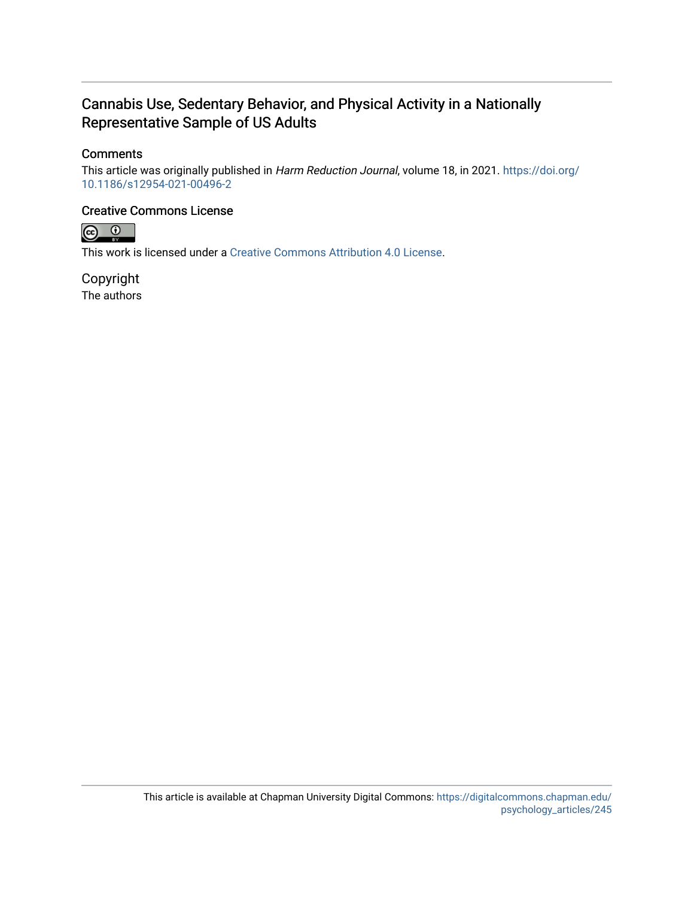## Cannabis Use, Sedentary Behavior, and Physical Activity in a Nationally Representative Sample of US Adults

## **Comments**

This article was originally published in Harm Reduction Journal, volume 18, in 2021. [https://doi.org/](https://doi.org/10.1186/s12954-021-00496-2) [10.1186/s12954-021-00496-2](https://doi.org/10.1186/s12954-021-00496-2)

## Creative Commons License



This work is licensed under a [Creative Commons Attribution 4.0 License](https://creativecommons.org/licenses/by/4.0/).

Copyright The authors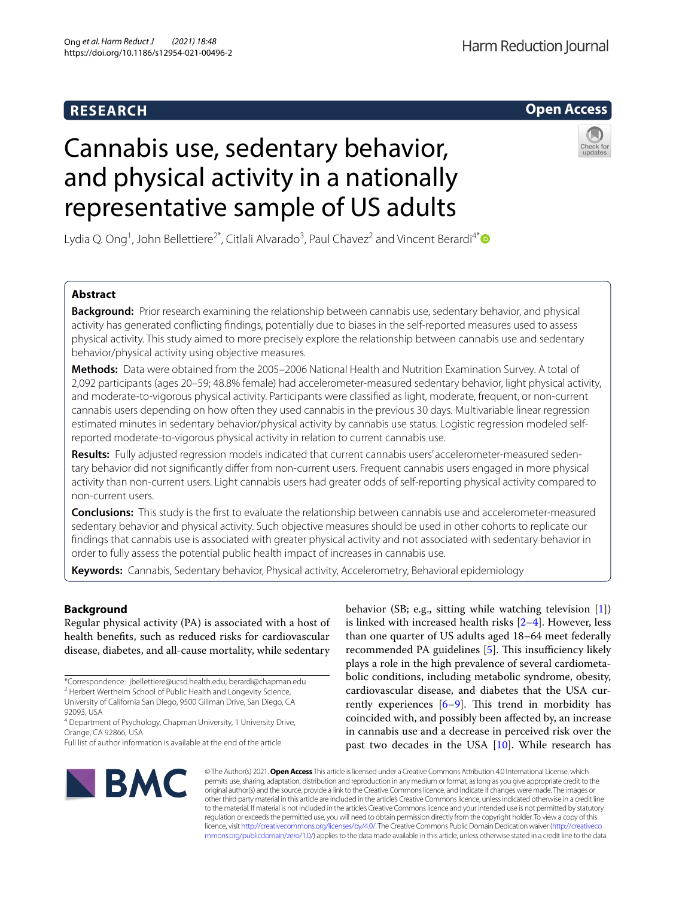## **RESEARCH**

## **Open Access**

# Cannabis use, sedentary behavior, and physical activity in a nationally representative sample of US adults



Lydia Q. Ong<sup>1</sup>, John Bellettiere<sup>2[\\*](http://orcid.org/0000-0001-9760-6241)</sup>, Citlali Alvarado<sup>3</sup>, Paul Chavez<sup>2</sup> and Vincent Berardi<sup>4\*</sup>

### **Abstract**

**Background:** Prior research examining the relationship between cannabis use, sedentary behavior, and physical activity has generated conficting fndings, potentially due to biases in the self-reported measures used to assess physical activity. This study aimed to more precisely explore the relationship between cannabis use and sedentary behavior/physical activity using objective measures.

**Methods:** Data were obtained from the 2005–2006 National Health and Nutrition Examination Survey. A total of 2,092 participants (ages 20–59; 48.8% female) had accelerometer-measured sedentary behavior, light physical activity, and moderate-to-vigorous physical activity. Participants were classifed as light, moderate, frequent, or non-current cannabis users depending on how often they used cannabis in the previous 30 days. Multivariable linear regression estimated minutes in sedentary behavior/physical activity by cannabis use status. Logistic regression modeled selfreported moderate-to-vigorous physical activity in relation to current cannabis use.

**Results:** Fully adjusted regression models indicated that current cannabis users' accelerometer-measured sedentary behavior did not signifcantly difer from non-current users. Frequent cannabis users engaged in more physical activity than non-current users. Light cannabis users had greater odds of self-reporting physical activity compared to non-current users.

**Conclusions:** This study is the frst to evaluate the relationship between cannabis use and accelerometer-measured sedentary behavior and physical activity. Such objective measures should be used in other cohorts to replicate our fndings that cannabis use is associated with greater physical activity and not associated with sedentary behavior in order to fully assess the potential public health impact of increases in cannabis use.

**Keywords:** Cannabis, Sedentary behavior, Physical activity, Accelerometry, Behavioral epidemiology

#### **Background**

Regular physical activity (PA) is associated with a host of health benefts, such as reduced risks for cardiovascular disease, diabetes, and all-cause mortality, while sedentary

behavior (SB; e.g., sitting while watching television [\[1](#page-9-0)]) is linked with increased health risks [[2](#page-9-1)[–4](#page-9-2)]. However, less than one quarter of US adults aged 18–64 meet federally recommended PA guidelines [\[5](#page-9-3)]. This insufficiency likely plays a role in the high prevalence of several cardiometabolic conditions, including metabolic syndrome, obesity, cardiovascular disease, and diabetes that the USA currently experiences  $[6-9]$  $[6-9]$ . This trend in morbidity has coincided with, and possibly been afected by, an increase in cannabis use and a decrease in perceived risk over the past two decades in the USA  $[10]$  $[10]$  $[10]$ . While research has



© The Author(s) 2021. **Open Access** This article is licensed under a Creative Commons Attribution 4.0 International License, which permits use, sharing, adaptation, distribution and reproduction in any medium or format, as long as you give appropriate credit to the original author(s) and the source, provide a link to the Creative Commons licence, and indicate if changes were made. The images or other third party material in this article are included in the article's Creative Commons licence, unless indicated otherwise in a credit line to the material. If material is not included in the article's Creative Commons licence and your intended use is not permitted by statutory regulation or exceeds the permitted use, you will need to obtain permission directly from the copyright holder. To view a copy of this licence, visit [http://creativecommons.org/licenses/by/4.0/.](http://creativecommons.org/licenses/by/4.0/) The Creative Commons Public Domain Dedication waiver ([http://creativeco](http://creativecommons.org/publicdomain/zero/1.0/) [mmons.org/publicdomain/zero/1.0/](http://creativecommons.org/publicdomain/zero/1.0/)) applies to the data made available in this article, unless otherwise stated in a credit line to the data.

<sup>\*</sup>Correspondence: jbellettiere@ucsd.health.edu; berardi@chapman.edu <sup>2</sup> Herbert Wertheim School of Public Health and Longevity Science,

University of California San Diego, 9500 Gillman Drive, San Diego, CA 92093, USA

<sup>4</sup> Department of Psychology, Chapman University, 1 University Drive, Orange, CA 92866, USA

Full list of author information is available at the end of the article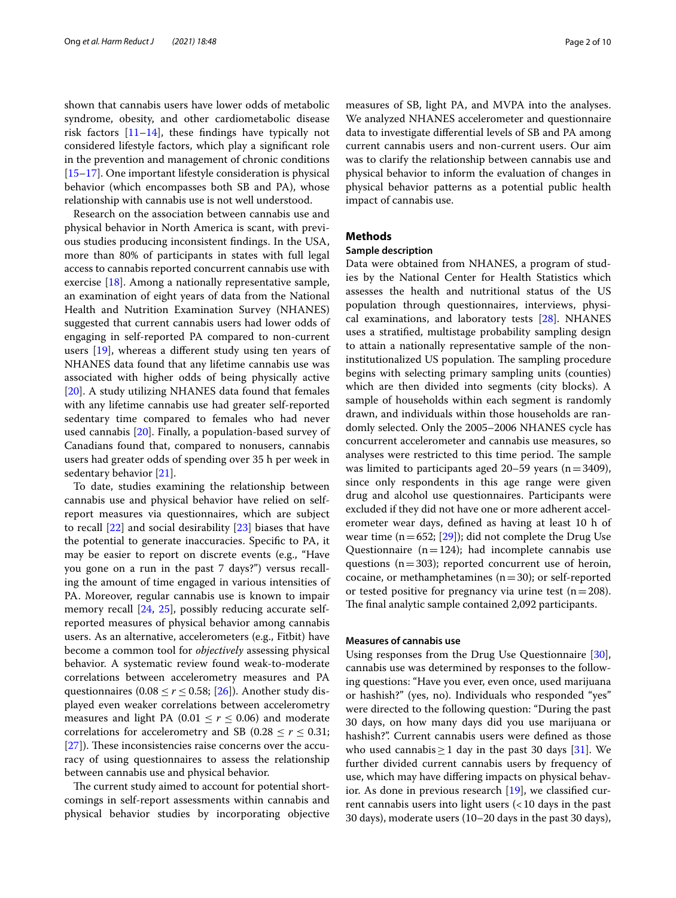shown that cannabis users have lower odds of metabolic syndrome, obesity, and other cardiometabolic disease risk factors  $[11-14]$  $[11-14]$ , these findings have typically not considered lifestyle factors, which play a signifcant role in the prevention and management of chronic conditions [[15–](#page-10-4)[17](#page-10-5)]. One important lifestyle consideration is physical behavior (which encompasses both SB and PA), whose relationship with cannabis use is not well understood.

Research on the association between cannabis use and physical behavior in North America is scant, with previous studies producing inconsistent fndings. In the USA, more than 80% of participants in states with full legal access to cannabis reported concurrent cannabis use with exercise [[18](#page-10-6)]. Among a nationally representative sample, an examination of eight years of data from the National Health and Nutrition Examination Survey (NHANES) suggested that current cannabis users had lower odds of engaging in self-reported PA compared to non-current users [\[19\]](#page-10-7), whereas a diferent study using ten years of NHANES data found that any lifetime cannabis use was associated with higher odds of being physically active [[20\]](#page-10-8). A study utilizing NHANES data found that females with any lifetime cannabis use had greater self-reported sedentary time compared to females who had never used cannabis [[20\]](#page-10-8). Finally, a population-based survey of Canadians found that, compared to nonusers, cannabis users had greater odds of spending over 35 h per week in sedentary behavior [[21\]](#page-10-9).

To date, studies examining the relationship between cannabis use and physical behavior have relied on selfreport measures via questionnaires, which are subject to recall [[22\]](#page-10-10) and social desirability [[23\]](#page-10-11) biases that have the potential to generate inaccuracies. Specifc to PA, it may be easier to report on discrete events (e.g., "Have you gone on a run in the past 7 days?") versus recalling the amount of time engaged in various intensities of PA. Moreover, regular cannabis use is known to impair memory recall [\[24,](#page-10-12) [25\]](#page-10-13), possibly reducing accurate selfreported measures of physical behavior among cannabis users. As an alternative, accelerometers (e.g., Fitbit) have become a common tool for *objectively* assessing physical behavior. A systematic review found weak-to-moderate correlations between accelerometry measures and PA questionnaires (0.08  $\le$  *r*  $\le$  0.58; [[26](#page-10-14)]). Another study displayed even weaker correlations between accelerometry measures and light PA (0.01  $\leq r \leq$  0.06) and moderate correlations for accelerometry and SB (0.28  $\le r \le 0.31$ ;  $[27]$  $[27]$ ). These inconsistencies raise concerns over the accuracy of using questionnaires to assess the relationship between cannabis use and physical behavior.

The current study aimed to account for potential shortcomings in self-report assessments within cannabis and physical behavior studies by incorporating objective measures of SB, light PA, and MVPA into the analyses. We analyzed NHANES accelerometer and questionnaire data to investigate diferential levels of SB and PA among current cannabis users and non-current users. Our aim was to clarify the relationship between cannabis use and physical behavior to inform the evaluation of changes in physical behavior patterns as a potential public health impact of cannabis use.

#### **Methods**

#### **Sample description**

Data were obtained from NHANES, a program of studies by the National Center for Health Statistics which assesses the health and nutritional status of the US population through questionnaires, interviews, physical examinations, and laboratory tests [[28\]](#page-10-16). NHANES uses a stratifed, multistage probability sampling design to attain a nationally representative sample of the noninstitutionalized US population. The sampling procedure begins with selecting primary sampling units (counties) which are then divided into segments (city blocks). A sample of households within each segment is randomly drawn, and individuals within those households are randomly selected. Only the 2005–2006 NHANES cycle has concurrent accelerometer and cannabis use measures, so analyses were restricted to this time period. The sample was limited to participants aged  $20-59$  years (n=3409), since only respondents in this age range were given drug and alcohol use questionnaires. Participants were excluded if they did not have one or more adherent accelerometer wear days, defned as having at least 10 h of wear time ( $n=652$ ; [[29\]](#page-10-17)); did not complete the Drug Use Questionnaire ( $n=124$ ); had incomplete cannabis use questions ( $n=303$ ); reported concurrent use of heroin, cocaine, or methamphetamines ( $n=30$ ); or self-reported or tested positive for pregnancy via urine test  $(n=208)$ . The final analytic sample contained 2,092 participants.

#### **Measures of cannabis use**

Using responses from the Drug Use Questionnaire [\[30](#page-10-18)], cannabis use was determined by responses to the following questions: "Have you ever, even once, used marijuana or hashish?" (yes, no). Individuals who responded "yes" were directed to the following question: "During the past 30 days, on how many days did you use marijuana or hashish?". Current cannabis users were defned as those who used cannabis  $\geq 1$  day in the past 30 days [\[31\]](#page-10-19). We further divided current cannabis users by frequency of use, which may have difering impacts on physical behavior. As done in previous research [[19](#page-10-7)], we classifed current cannabis users into light users  $\left( < 10 \right)$  days in the past 30 days), moderate users (10–20 days in the past 30 days),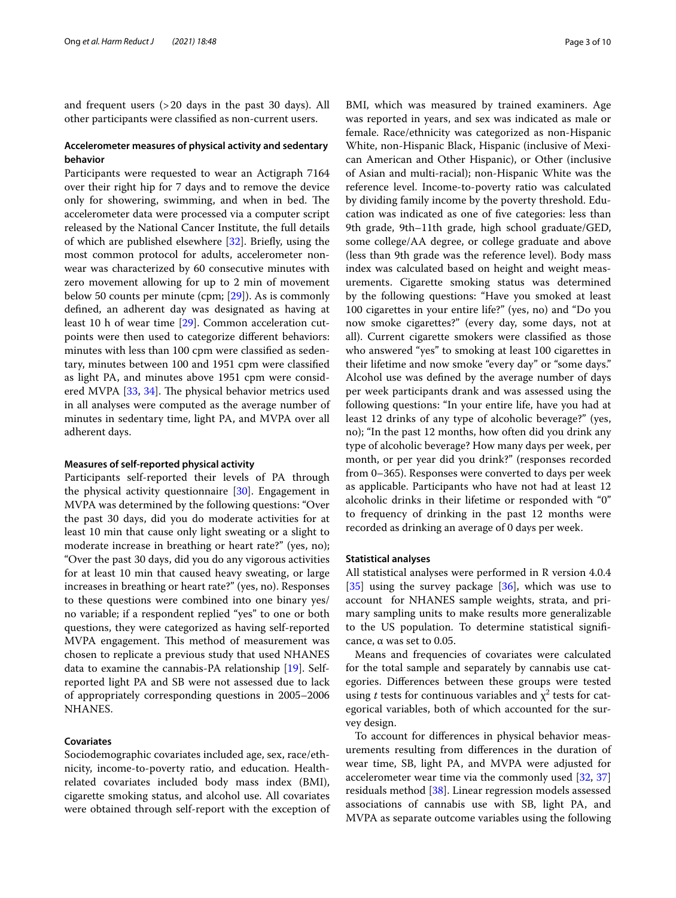and frequent users (>20 days in the past 30 days). All other participants were classifed as non-current users.

#### **Accelerometer measures of physical activity and sedentary behavior**

Participants were requested to wear an Actigraph 7164 over their right hip for 7 days and to remove the device only for showering, swimming, and when in bed. The accelerometer data were processed via a computer script released by the National Cancer Institute, the full details of which are published elsewhere [\[32\]](#page-10-20). Briefy, using the most common protocol for adults, accelerometer nonwear was characterized by 60 consecutive minutes with zero movement allowing for up to 2 min of movement below 50 counts per minute (cpm; [\[29](#page-10-17)]). As is commonly defned, an adherent day was designated as having at least 10 h of wear time [[29](#page-10-17)]. Common acceleration cutpoints were then used to categorize diferent behaviors: minutes with less than 100 cpm were classifed as sedentary, minutes between 100 and 1951 cpm were classifed as light PA, and minutes above 1951 cpm were consid-ered MVPA [[33,](#page-10-21) [34\]](#page-10-22). The physical behavior metrics used in all analyses were computed as the average number of minutes in sedentary time, light PA, and MVPA over all adherent days.

#### **Measures of self‑reported physical activity**

Participants self-reported their levels of PA through the physical activity questionnaire [\[30](#page-10-18)]. Engagement in MVPA was determined by the following questions: "Over the past 30 days, did you do moderate activities for at least 10 min that cause only light sweating or a slight to moderate increase in breathing or heart rate?" (yes, no); "Over the past 30 days, did you do any vigorous activities for at least 10 min that caused heavy sweating, or large increases in breathing or heart rate?" (yes, no). Responses to these questions were combined into one binary yes/ no variable; if a respondent replied "yes" to one or both questions, they were categorized as having self-reported MVPA engagement. This method of measurement was chosen to replicate a previous study that used NHANES data to examine the cannabis-PA relationship [\[19](#page-10-7)]. Selfreported light PA and SB were not assessed due to lack of appropriately corresponding questions in 2005–2006 NHANES.

#### **Covariates**

Sociodemographic covariates included age, sex, race/ethnicity, income-to-poverty ratio, and education. Healthrelated covariates included body mass index (BMI), cigarette smoking status, and alcohol use. All covariates were obtained through self-report with the exception of BMI, which was measured by trained examiners. Age was reported in years, and sex was indicated as male or female. Race/ethnicity was categorized as non-Hispanic White, non-Hispanic Black, Hispanic (inclusive of Mexican American and Other Hispanic), or Other (inclusive of Asian and multi-racial); non-Hispanic White was the reference level. Income-to-poverty ratio was calculated by dividing family income by the poverty threshold. Education was indicated as one of fve categories: less than 9th grade, 9th–11th grade, high school graduate/GED, some college/AA degree, or college graduate and above (less than 9th grade was the reference level). Body mass index was calculated based on height and weight measurements. Cigarette smoking status was determined by the following questions: "Have you smoked at least 100 cigarettes in your entire life?" (yes, no) and "Do you now smoke cigarettes?" (every day, some days, not at all). Current cigarette smokers were classifed as those who answered "yes" to smoking at least 100 cigarettes in their lifetime and now smoke "every day" or "some days." Alcohol use was defned by the average number of days per week participants drank and was assessed using the following questions: "In your entire life, have you had at least 12 drinks of any type of alcoholic beverage?" (yes, no); "In the past 12 months, how often did you drink any type of alcoholic beverage? How many days per week, per month, or per year did you drink?" (responses recorded from 0–365). Responses were converted to days per week as applicable. Participants who have not had at least 12 alcoholic drinks in their lifetime or responded with "0" to frequency of drinking in the past 12 months were recorded as drinking an average of 0 days per week.

#### **Statistical analyses**

All statistical analyses were performed in R version 4.0.4  $[35]$  $[35]$  using the survey package  $[36]$  $[36]$ , which was use to account for NHANES sample weights, strata, and primary sampling units to make results more generalizable to the US population. To determine statistical signifcance, α was set to 0.05.

Means and frequencies of covariates were calculated for the total sample and separately by cannabis use categories. Diferences between these groups were tested using *t* tests for continuous variables and  $\chi^2$  tests for categorical variables, both of which accounted for the survey design.

To account for diferences in physical behavior measurements resulting from diferences in the duration of wear time, SB, light PA, and MVPA were adjusted for accelerometer wear time via the commonly used [[32,](#page-10-20) [37](#page-10-25)] residuals method [[38\]](#page-10-26). Linear regression models assessed associations of cannabis use with SB, light PA, and MVPA as separate outcome variables using the following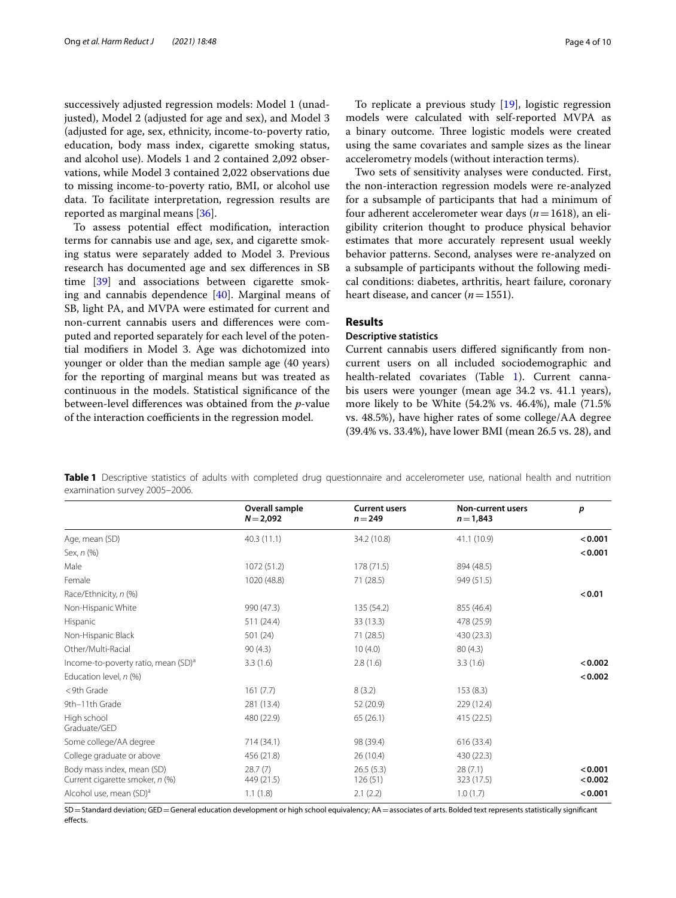successively adjusted regression models: Model 1 (unadjusted), Model 2 (adjusted for age and sex), and Model 3 (adjusted for age, sex, ethnicity, income-to-poverty ratio, education, body mass index, cigarette smoking status, and alcohol use). Models 1 and 2 contained 2,092 observations, while Model 3 contained 2,022 observations due to missing income-to-poverty ratio, BMI, or alcohol use data. To facilitate interpretation, regression results are reported as marginal means [[36\]](#page-10-24).

To assess potential efect modifcation, interaction terms for cannabis use and age, sex, and cigarette smoking status were separately added to Model 3. Previous research has documented age and sex diferences in SB time [[39\]](#page-10-27) and associations between cigarette smoking and cannabis dependence [\[40](#page-10-28)]. Marginal means of SB, light PA, and MVPA were estimated for current and non-current cannabis users and diferences were computed and reported separately for each level of the potential modifers in Model 3. Age was dichotomized into younger or older than the median sample age (40 years) for the reporting of marginal means but was treated as continuous in the models. Statistical signifcance of the between-level diferences was obtained from the *p*-value of the interaction coefficients in the regression model.

To replicate a previous study [[19\]](#page-10-7), logistic regression models were calculated with self-reported MVPA as a binary outcome. Three logistic models were created using the same covariates and sample sizes as the linear accelerometry models (without interaction terms).

Two sets of sensitivity analyses were conducted. First, the non-interaction regression models were re-analyzed for a subsample of participants that had a minimum of four adherent accelerometer wear days (*n*=1618), an eligibility criterion thought to produce physical behavior estimates that more accurately represent usual weekly behavior patterns. Second, analyses were re-analyzed on a subsample of participants without the following medical conditions: diabetes, arthritis, heart failure, coronary heart disease, and cancer  $(n=1551)$ .

#### **Results**

#### **Descriptive statistics**

Current cannabis users difered signifcantly from noncurrent users on all included sociodemographic and health-related covariates (Table [1](#page-5-0)). Current cannabis users were younger (mean age 34.2 vs. 41.1 years), more likely to be White (54.2% vs. 46.4%), male (71.5% vs. 48.5%), have higher rates of some college/AA degree (39.4% vs. 33.4%), have lower BMI (mean 26.5 vs. 28), and

<span id="page-5-0"></span>**Table 1** Descriptive statistics of adults with completed drug questionnaire and accelerometer use, national health and nutrition examination survey 2005–2006.

|                                                               | Overall sample        | <b>Current users</b> | Non-current users     | p                  |
|---------------------------------------------------------------|-----------------------|----------------------|-----------------------|--------------------|
|                                                               | $N = 2,092$           | $n = 249$            | $n = 1,843$           |                    |
| Age, mean (SD)                                                | 40.3(11.1)            | 34.2 (10.8)          | 41.1 (10.9)           | < 0.001            |
| Sex, n (%)                                                    |                       |                      |                       | < 0.001            |
| Male                                                          | 1072 (51.2)           | 178(71.5)            | 894 (48.5)            |                    |
| Female                                                        | 1020 (48.8)           | 71 (28.5)            | 949 (51.5)            |                    |
| Race/Ethnicity, n (%)                                         |                       |                      |                       | < 0.01             |
| Non-Hispanic White                                            | 990 (47.3)            | 135 (54.2)           | 855 (46.4)            |                    |
| Hispanic                                                      | 511 (24.4)            | 33 (13.3)            | 478 (25.9)            |                    |
| Non-Hispanic Black                                            | 501 (24)              | 71 (28.5)            | 430 (23.3)            |                    |
| Other/Multi-Racial                                            | 90(4.3)               | 10(4.0)              | 80(4.3)               |                    |
| Income-to-poverty ratio, mean (SD) <sup>a</sup>               | 3.3(1.6)              | 2.8(1.6)             | 3.3(1.6)              | < 0.002            |
| Education level, n (%)                                        |                       |                      |                       | < 0.002            |
| < 9th Grade                                                   | 161(7.7)              | 8(3.2)               | 153(8.3)              |                    |
| 9th-11th Grade                                                | 281 (13.4)            | 52 (20.9)            | 229 (12.4)            |                    |
| High school<br>Graduate/GED                                   | 480 (22.9)            | 65(26.1)             | 415(22.5)             |                    |
| Some college/AA degree                                        | 714 (34.1)            | 98 (39.4)            | 616 (33.4)            |                    |
| College graduate or above                                     | 456 (21.8)            | 26(10.4)             | 430 (22.3)            |                    |
| Body mass index, mean (SD)<br>Current cigarette smoker, n (%) | 28.7(7)<br>449 (21.5) | 26.5(5.3)<br>126(51) | 28(7.1)<br>323 (17.5) | < 0.001<br>< 0.002 |
| Alcohol use, mean (SD) <sup>a</sup>                           | 1.1(1.8)              | 2.1(2.2)             | 1.0(1.7)              | < 0.001            |

SD=Standard deviation; GED=General education development or high school equivalency; AA=associates of arts. Bolded text represents statistically signifcant effects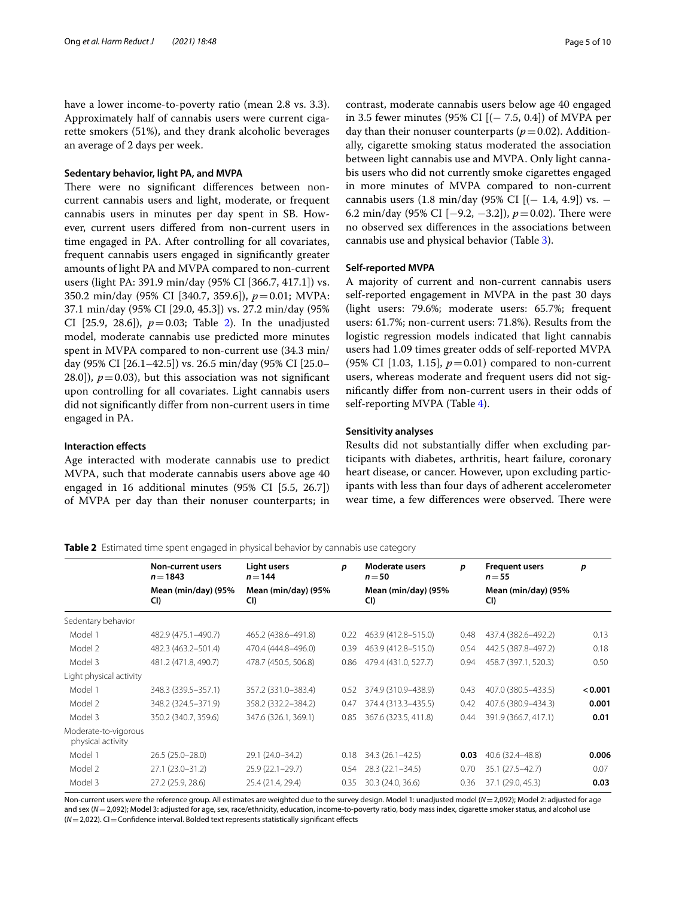have a lower income-to-poverty ratio (mean 2.8 vs. 3.3). Approximately half of cannabis users were current cigarette smokers (51%), and they drank alcoholic beverages an average of 2 days per week.

#### **Sedentary behavior, light PA, and MVPA**

There were no significant differences between noncurrent cannabis users and light, moderate, or frequent cannabis users in minutes per day spent in SB. However, current users difered from non-current users in time engaged in PA. After controlling for all covariates, frequent cannabis users engaged in signifcantly greater amounts of light PA and MVPA compared to non-current users (light PA: 391.9 min/day (95% CI [366.7, 417.1]) vs. 350.2 min/day (95% CI [340.7, 359.6]), *p*=0.01; MVPA: 37.1 min/day (95% CI [29.0, 45.3]) vs. 27.2 min/day (95% CI  $[25.9, 28.6]$ ,  $p=0.03$ ; Table [2\)](#page-6-0). In the unadjusted model, moderate cannabis use predicted more minutes spent in MVPA compared to non-current use (34.3 min/ day (95% CI [26.1–42.5]) vs. 26.5 min/day (95% CI [25.0– 28.0]),  $p = 0.03$ ), but this association was not significant upon controlling for all covariates. Light cannabis users did not signifcantly difer from non-current users in time engaged in PA.

#### **Interaction efects**

Age interacted with moderate cannabis use to predict MVPA, such that moderate cannabis users above age 40 engaged in 16 additional minutes (95% CI [5.5, 26.7]) of MVPA per day than their nonuser counterparts; in contrast, moderate cannabis users below age 40 engaged in 3.5 fewer minutes (95% CI [ $(− 7.5, 0.4)$ ] of MVPA per day than their nonuser counterparts  $(p=0.02)$ . Additionally, cigarette smoking status moderated the association between light cannabis use and MVPA. Only light cannabis users who did not currently smoke cigarettes engaged in more minutes of MVPA compared to non-current cannabis users  $(1.8 \text{ min/day } (95\% \text{ CI } [(-1.4, 4.9]) \text{ vs. } -$ 6.2 min/day (95% CI [−9.2, −3.2]),  $p = 0.02$ ). There were no observed sex diferences in the associations between cannabis use and physical behavior (Table [3](#page-7-0)).

#### **Self‑reported MVPA**

A majority of current and non-current cannabis users self-reported engagement in MVPA in the past 30 days (light users: 79.6%; moderate users: 65.7%; frequent users: 61.7%; non-current users: 71.8%). Results from the logistic regression models indicated that light cannabis users had 1.09 times greater odds of self-reported MVPA (95% CI [1.03, 1.15],  $p = 0.01$ ) compared to non-current users, whereas moderate and frequent users did not signifcantly difer from non-current users in their odds of self-reporting MVPA (Table [4](#page-7-1)).

#### **Sensitivity analyses**

Results did not substantially difer when excluding participants with diabetes, arthritis, heart failure, coronary heart disease, or cancer. However, upon excluding participants with less than four days of adherent accelerometer wear time, a few differences were observed. There were

#### <span id="page-6-0"></span>**Table 2** Estimated time spent engaged in physical behavior by cannabis use category

|                                           | <b>Non-current users</b><br>$n = 1843$ | Light users<br>$n = 144$   | p    | <b>Moderate users</b><br>$n = 50$ | p    | <b>Frequent users</b><br>$n = 55$ | p       |
|-------------------------------------------|----------------------------------------|----------------------------|------|-----------------------------------|------|-----------------------------------|---------|
|                                           | Mean (min/day) (95%<br>CI)             | Mean (min/day) (95%<br>CI) |      | Mean (min/day) (95%<br>CI)        |      | Mean (min/day) (95%<br>CI)        |         |
| Sedentary behavior                        |                                        |                            |      |                                   |      |                                   |         |
| Model 1                                   | 482.9 (475.1-490.7)                    | 465.2 (438.6-491.8)        | 0.22 | 463.9 (412.8-515.0)               | 0.48 | 437.4 (382.6-492.2)               | 0.13    |
| Model 2                                   | 482.3 (463.2-501.4)                    | 470.4 (444.8-496.0)        | 0.39 | 463.9 (412.8-515.0)               | 0.54 | 442.5 (387.8-497.2)               | 0.18    |
| Model 3                                   | 481.2 (471.8, 490.7)                   | 478.7 (450.5, 506.8)       | 0.86 | 479.4 (431.0, 527.7)              | 0.94 | 458.7 (397.1, 520.3)              | 0.50    |
| Light physical activity                   |                                        |                            |      |                                   |      |                                   |         |
| Model 1                                   | 348.3 (339.5-357.1)                    | 357.2 (331.0-383.4)        | 0.52 | 374.9 (310.9-438.9)               | 0.43 | 407.0 (380.5-433.5)               | < 0.001 |
| Model 2                                   | 348.2 (324.5-371.9)                    | 358.2 (332.2-384.2)        | 0.47 | 374.4 (313.3-435.5)               | 0.42 | 407.6 (380.9-434.3)               | 0.001   |
| Model 3                                   | 350.2 (340.7, 359.6)                   | 347.6 (326.1, 369.1)       | 0.85 | 367.6 (323.5, 411.8)              | 0.44 | 391.9 (366.7, 417.1)              | 0.01    |
| Moderate-to-vigorous<br>physical activity |                                        |                            |      |                                   |      |                                   |         |
| Model 1                                   | $26.5(25.0-28.0)$                      | 29.1 (24.0-34.2)           | 0.18 | 34.3 (26.1-42.5)                  | 0.03 | 40.6 (32.4 - 48.8)                | 0.006   |
| Model 2                                   | 27.1 (23.0-31.2)                       | $25.9(22.1 - 29.7)$        | 0.54 | $28.3(22.1 - 34.5)$               | 0.70 | 35.1 (27.5-42.7)                  | 0.07    |
| Model 3                                   | 27.2 (25.9, 28.6)                      | 25.4 (21.4, 29.4)          | 0.35 | 30.3 (24.0, 36.6)                 | 0.36 | 37.1 (29.0, 45.3)                 | 0.03    |

Non-current users were the reference group. All estimates are weighted due to the survey design. Model 1: unadjusted model (*N*=2,092); Model 2: adjusted for age and sex (N=2,092); Model 3: adjusted for age, sex, race/ethnicity, education, income-to-poverty ratio, body mass index, cigarette smoker status, and alcohol use ( $N=2,022$ ). CI = Confidence interval. Bolded text represents statistically significant effects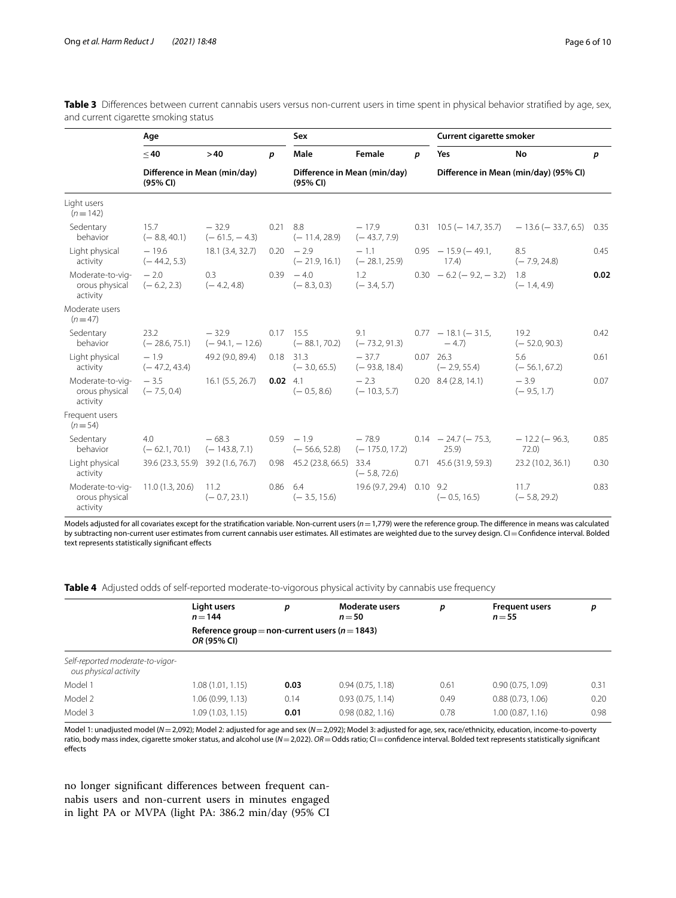<span id="page-7-0"></span>Table 3 Differences between current cannabis users versus non-current users in time spent in physical behavior stratified by age, sex, and current cigarette smoking status

|                                                | Age                                      |                             | Sex              |                                          |                             | Current cigarette smoker |                                       |                             |      |
|------------------------------------------------|------------------------------------------|-----------------------------|------------------|------------------------------------------|-----------------------------|--------------------------|---------------------------------------|-----------------------------|------|
|                                                | $<$ 40                                   | >40                         | p                | Male                                     | Female                      | p                        | Yes                                   | No                          | p    |
|                                                | Difference in Mean (min/day)<br>(95% CI) |                             |                  | Difference in Mean (min/day)<br>(95% CI) |                             |                          | Difference in Mean (min/day) (95% CI) |                             |      |
| Light users<br>$(n=142)$                       |                                          |                             |                  |                                          |                             |                          |                                       |                             |      |
| Sedentary<br>behavior                          | 15.7<br>$(-8.8, 40.1)$                   | $-32.9$<br>$(-61.5, -4.3)$  | $0.21$ 8.8       | $(-11.4, 28.9)$                          | $-17.9$<br>$(-43.7, 7.9)$   |                          | $0.31$ 10.5 ( $-$ 14.7, 35.7)         | $-13.6$ ( $-33.7, 6.5$ )    | 0.35 |
| Light physical<br>activity                     | $-19.6$<br>$(-44.2, 5.3)$                | 18.1 (3.4, 32.7)            |                  | $0.20 - 2.9$<br>$(-21.9, 16.1)$          | $-1.1$<br>$(-28.1, 25.9)$   |                          | $0.95 - 15.9(-49.1)$<br>17.4)         | 8.5<br>$(-7.9, 24.8)$       | 0.45 |
| Moderate-to-vig-<br>orous physical<br>activity | $-2.0$<br>$(-6.2, 2.3)$                  | 0.3<br>$(-4.2, 4.8)$        |                  | $0.39 - 4.0$<br>$(-8.3, 0.3)$            | 1.2<br>$(-3.4, 5.7)$        |                          | $0.30 - 6.2 (-9.2, -3.2)$             | 1.8<br>$(-1.4, 4.9)$        | 0.02 |
| Moderate users<br>$(n=47)$                     |                                          |                             |                  |                                          |                             |                          |                                       |                             |      |
| Sedentary<br>behavior                          | 23.2<br>$(-28.6, 75.1)$                  | $-32.9$<br>$(-94.1, -12.6)$ |                  | $0.17$ 15.5<br>$(-88.1, 70.2)$           | 9.1<br>$(-73.2, 91.3)$      |                          | $0.77 - 18.1 (-31.5,$<br>$-4.7$       | 19.2<br>$(-52.0, 90.3)$     | 0.42 |
| Light physical<br>activity                     | $-1.9$<br>$(-47.2, 43.4)$                | 49.2 (9.0, 89.4)            |                  | $0.18$ 31.3<br>$(-3.0, 65.5)$            | $-37.7$<br>$(-93.8, 18.4)$  |                          | $0.07$ 26.3<br>$(-2.9, 55.4)$         | 5.6<br>$(-56.1, 67.2)$      | 0.61 |
| Moderate-to-vig-<br>orous physical<br>activity | $-3.5$<br>$(-7.5, 0.4)$                  | 16.1(5.5, 26.7)             | $0.02 \quad 4.1$ | $(-0.5, 8.6)$                            | $-2.3$<br>$(-10.3, 5.7)$    |                          | $0.20$ 8.4 (2.8, 14.1)                | $-3.9$<br>$(-9.5, 1.7)$     | 0.07 |
| Frequent users<br>$(n=54)$                     |                                          |                             |                  |                                          |                             |                          |                                       |                             |      |
| Sedentary<br>behavior                          | 4.0<br>$(-62.1, 70.1)$                   | $-68.3$<br>$(-143.8, 7.1)$  |                  | $0.59 - 1.9$<br>$(-56.6, 52.8)$          | $-78.9$<br>$(-175.0, 17.2)$ |                          | $0.14 - 24.7 (-75.3)$<br>25.9         | $-12.2$ ( $-96.3$ )<br>72.0 | 0.85 |
| Light physical<br>activity                     | 39.6 (23.3, 55.9) 39.2 (1.6, 76.7)       |                             |                  | $0.98$ 45.2 (23.8, 66.5)                 | 33.4<br>$(-5.8, 72.6)$      |                          | $0.71$ 45.6 (31.9, 59.3)              | 23.2 (10.2, 36.1)           | 0.30 |
| Moderate-to-vig-<br>orous physical<br>activity | 11.0 (1.3, 20.6) 11.2                    | $(-0.7, 23.1)$              | $0.86$ 6.4       | $(-3.5, 15.6)$                           | 19.6 (9.7, 29.4)            | $0.10$ 9.2               | $(-0.5, 16.5)$                        | 11.7<br>$(-5.8, 29.2)$      | 0.83 |

Models adjusted for all covariates except for the stratifcation variable. Non-current users (*n*=1,779) were the reference group. The diference in means was calculated by subtracting non-current user estimates from current cannabis user estimates. All estimates are weighted due to the survey design. CI = Confidence interval. Bolded text represents statistically signifcant efects

<span id="page-7-1"></span>**Table 4** Adjusted odds of self-reported moderate-to-vigorous physical activity by cannabis use frequency

|                                                           | Light users<br>$n = 144$                                          | p    | Moderate users<br>$n = 50$ | р    | <b>Frequent users</b><br>$n = 55$ | р    |  |  |  |  |
|-----------------------------------------------------------|-------------------------------------------------------------------|------|----------------------------|------|-----------------------------------|------|--|--|--|--|
|                                                           | Reference group = non-current users ( $n = 1843$ )<br>OR (95% CI) |      |                            |      |                                   |      |  |  |  |  |
| Self-reported moderate-to-vigor-<br>ous physical activity |                                                                   |      |                            |      |                                   |      |  |  |  |  |
| Model 1                                                   | 1.08 (1.01, 1.15)                                                 | 0.03 | 0.94(0.75, 1.18)           | 0.61 | 0.90(0.75, 1.09)                  | 0.31 |  |  |  |  |
| Model 2                                                   | 1.06 (0.99, 1.13)                                                 | 0.14 | 0.93(0.75, 1.14)           | 0.49 | 0.88(0.73, 1.06)                  | 0.20 |  |  |  |  |
| Model 3                                                   | 1.09 (1.03, 1.15)                                                 | 0.01 | 0.98(0.82, 1.16)           | 0.78 | 1.00 (0.87, 1.16)                 | 0.98 |  |  |  |  |

Model 1: unadjusted model (*N*=2,092); Model 2: adjusted for age and sex (*N*=2,092); Model 3: adjusted for age, sex, race/ethnicity, education, income-to-poverty ratio, body mass index, cigarette smoker status, and alcohol use ( $N=2,022$ ).  $OR=O$ dds ratio; CI=confidence interval. Bolded text represents statistically significant effects

no longer signifcant diferences between frequent cannabis users and non-current users in minutes engaged in light PA or MVPA (light PA: 386.2 min/day (95% CI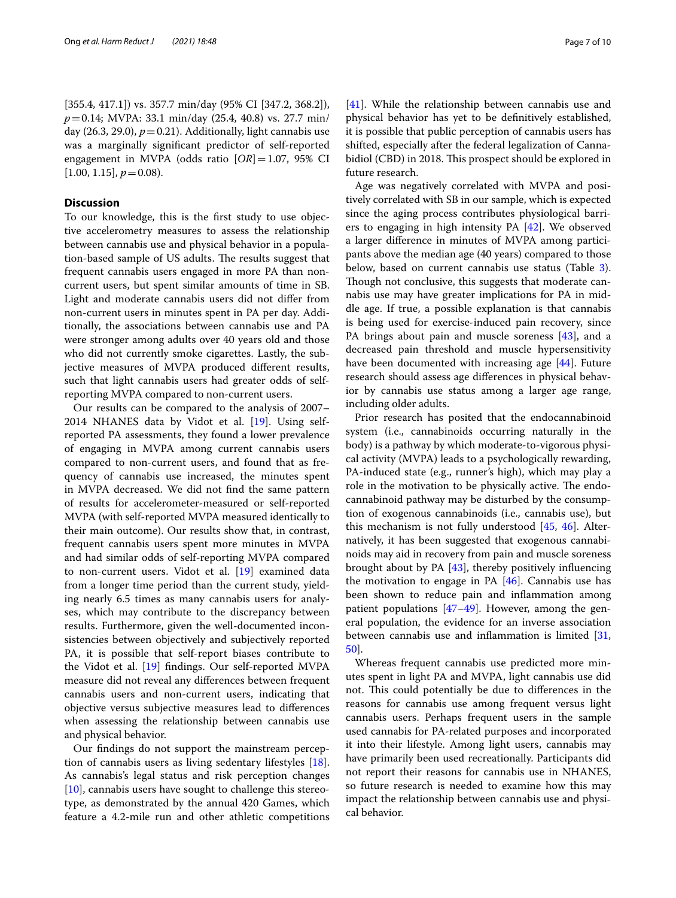[355.4, 417.1]) vs. 357.7 min/day (95% CI [347.2, 368.2]), *p*=0.14; MVPA: 33.1 min/day (25.4, 40.8) vs. 27.7 min/ day  $(26.3, 29.0)$ ,  $p=0.21$ ). Additionally, light cannabis use was a marginally signifcant predictor of self-reported engagement in MVPA (odds ratio [*OR*]=1.07, 95% CI  $[1.00, 1.15], p = 0.08$ .

#### **Discussion**

To our knowledge, this is the frst study to use objective accelerometry measures to assess the relationship between cannabis use and physical behavior in a population-based sample of US adults. The results suggest that frequent cannabis users engaged in more PA than noncurrent users, but spent similar amounts of time in SB. Light and moderate cannabis users did not difer from non-current users in minutes spent in PA per day. Additionally, the associations between cannabis use and PA were stronger among adults over 40 years old and those who did not currently smoke cigarettes. Lastly, the subjective measures of MVPA produced diferent results, such that light cannabis users had greater odds of selfreporting MVPA compared to non-current users.

Our results can be compared to the analysis of 2007– 2014 NHANES data by Vidot et al. [[19\]](#page-10-7). Using selfreported PA assessments, they found a lower prevalence of engaging in MVPA among current cannabis users compared to non-current users, and found that as frequency of cannabis use increased, the minutes spent in MVPA decreased. We did not fnd the same pattern of results for accelerometer-measured or self-reported MVPA (with self-reported MVPA measured identically to their main outcome). Our results show that, in contrast, frequent cannabis users spent more minutes in MVPA and had similar odds of self-reporting MVPA compared to non-current users. Vidot et al. [[19](#page-10-7)] examined data from a longer time period than the current study, yielding nearly 6.5 times as many cannabis users for analyses, which may contribute to the discrepancy between results. Furthermore, given the well-documented inconsistencies between objectively and subjectively reported PA, it is possible that self-report biases contribute to the Vidot et al. [\[19](#page-10-7)] fndings. Our self-reported MVPA measure did not reveal any diferences between frequent cannabis users and non-current users, indicating that objective versus subjective measures lead to diferences when assessing the relationship between cannabis use and physical behavior.

Our fndings do not support the mainstream perception of cannabis users as living sedentary lifestyles [\[18](#page-10-6)]. As cannabis's legal status and risk perception changes [[10\]](#page-10-1), cannabis users have sought to challenge this stereotype, as demonstrated by the annual 420 Games, which feature a 4.2-mile run and other athletic competitions [[41\]](#page-10-29). While the relationship between cannabis use and physical behavior has yet to be defnitively established, it is possible that public perception of cannabis users has shifted, especially after the federal legalization of Cannabidiol (CBD) in 2018. This prospect should be explored in future research.

Age was negatively correlated with MVPA and positively correlated with SB in our sample, which is expected since the aging process contributes physiological barriers to engaging in high intensity PA [[42\]](#page-10-30). We observed a larger diference in minutes of MVPA among participants above the median age (40 years) compared to those below, based on current cannabis use status (Table [3](#page-6-0)). Though not conclusive, this suggests that moderate cannabis use may have greater implications for PA in middle age. If true, a possible explanation is that cannabis is being used for exercise-induced pain recovery, since PA brings about pain and muscle soreness [\[43](#page-10-31)], and a decreased pain threshold and muscle hypersensitivity have been documented with increasing age [[44\]](#page-10-32). Future research should assess age diferences in physical behavior by cannabis use status among a larger age range, including older adults.

Prior research has posited that the endocannabinoid system (i.e., cannabinoids occurring naturally in the body) is a pathway by which moderate-to-vigorous physical activity (MVPA) leads to a psychologically rewarding, PA-induced state (e.g., runner's high), which may play a role in the motivation to be physically active. The endocannabinoid pathway may be disturbed by the consumption of exogenous cannabinoids (i.e., cannabis use), but this mechanism is not fully understood [\[45](#page-10-33), [46\]](#page-10-34). Alternatively, it has been suggested that exogenous cannabinoids may aid in recovery from pain and muscle soreness brought about by PA [\[43](#page-10-31)], thereby positively infuencing the motivation to engage in PA [[46\]](#page-10-34). Cannabis use has been shown to reduce pain and infammation among patient populations [\[47](#page-10-35)[–49\]](#page-10-36). However, among the general population, the evidence for an inverse association between cannabis use and inflammation is limited  $[31, 1]$  $[31, 1]$  $[31, 1]$ [50\]](#page-10-37).

Whereas frequent cannabis use predicted more minutes spent in light PA and MVPA, light cannabis use did not. This could potentially be due to differences in the reasons for cannabis use among frequent versus light cannabis users. Perhaps frequent users in the sample used cannabis for PA-related purposes and incorporated it into their lifestyle. Among light users, cannabis may have primarily been used recreationally. Participants did not report their reasons for cannabis use in NHANES, so future research is needed to examine how this may impact the relationship between cannabis use and physical behavior.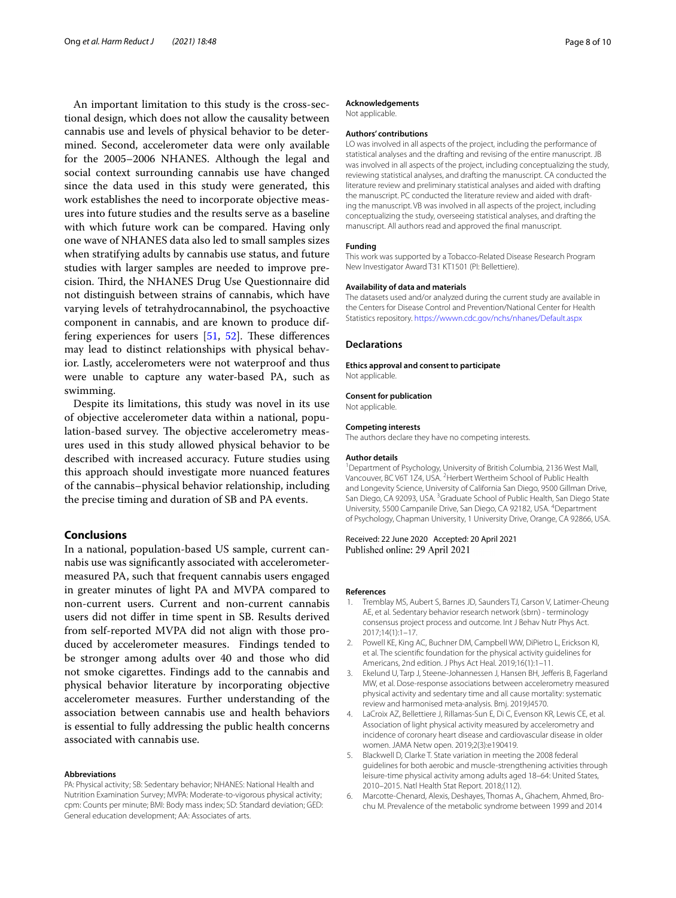An important limitation to this study is the cross-sectional design, which does not allow the causality between cannabis use and levels of physical behavior to be determined. Second, accelerometer data were only available for the 2005–2006 NHANES. Although the legal and social context surrounding cannabis use have changed since the data used in this study were generated, this work establishes the need to incorporate objective measures into future studies and the results serve as a baseline with which future work can be compared. Having only one wave of NHANES data also led to small samples sizes when stratifying adults by cannabis use status, and future studies with larger samples are needed to improve precision. Third, the NHANES Drug Use Questionnaire did not distinguish between strains of cannabis, which have varying levels of tetrahydrocannabinol, the psychoactive component in cannabis, and are known to produce differing experiences for users  $[51, 52]$  $[51, 52]$  $[51, 52]$  $[51, 52]$ . These differences may lead to distinct relationships with physical behavior. Lastly, accelerometers were not waterproof and thus were unable to capture any water-based PA, such as swimming.

Despite its limitations, this study was novel in its use of objective accelerometer data within a national, population-based survey. The objective accelerometry measures used in this study allowed physical behavior to be described with increased accuracy. Future studies using this approach should investigate more nuanced features of the cannabis–physical behavior relationship, including the precise timing and duration of SB and PA events.

#### **Conclusions**

In a national, population-based US sample, current cannabis use was signifcantly associated with accelerometermeasured PA, such that frequent cannabis users engaged in greater minutes of light PA and MVPA compared to non-current users. Current and non-current cannabis users did not difer in time spent in SB. Results derived from self-reported MVPA did not align with those produced by accelerometer measures. Findings tended to be stronger among adults over 40 and those who did not smoke cigarettes. Findings add to the cannabis and physical behavior literature by incorporating objective accelerometer measures. Further understanding of the association between cannabis use and health behaviors is essential to fully addressing the public health concerns associated with cannabis use.

#### **Abbreviations**

PA: Physical activity; SB: Sedentary behavior; NHANES: National Health and Nutrition Examination Survey; MVPA: Moderate-to-vigorous physical activity; cpm: Counts per minute; BMI: Body mass index; SD: Standard deviation; GED: General education development; AA: Associates of arts.

#### **Acknowledgements**

Not applicable.

#### **Authors' contributions**

LO was involved in all aspects of the project, including the performance of statistical analyses and the drafting and revising of the entire manuscript. JB was involved in all aspects of the project, including conceptualizing the study, reviewing statistical analyses, and drafting the manuscript. CA conducted the literature review and preliminary statistical analyses and aided with drafting the manuscript. PC conducted the literature review and aided with drafting the manuscript. VB was involved in all aspects of the project, including conceptualizing the study, overseeing statistical analyses, and drafting the manuscript. All authors read and approved the fnal manuscript.

#### **Funding**

This work was supported by a Tobacco-Related Disease Research Program New Investigator Award T31 KT1501 (PI: Bellettiere).

#### **Availability of data and materials**

The datasets used and/or analyzed during the current study are available in the Centers for Disease Control and Prevention/National Center for Health Statistics repository.<https://wwwn.cdc.gov/nchs/nhanes/Default.aspx>

#### **Declarations**

**Ethics approval and consent to participate** Not applicable.

#### **Consent for publication**

Not applicable.

#### **Competing interests**

The authors declare they have no competing interests.

#### **Author details**

<sup>1</sup> Department of Psychology, University of British Columbia, 2136 West Mall, Vancouver, BC V6T 1Z4, USA. <sup>2</sup> Herbert Wertheim School of Public Health and Longevity Science, University of California San Diego, 9500 Gillman Drive, San Diego, CA 92093, USA. <sup>3</sup> Graduate School of Public Health, San Diego State University, 5500 Campanile Drive, San Diego, CA 92182, USA. 4 Department of Psychology, Chapman University, 1 University Drive, Orange, CA 92866, USA.

#### Received: 22 June 2020 Accepted: 20 April 2021 Published online: 29 April 2021

#### **References**

- <span id="page-9-0"></span>1. Tremblay MS, Aubert S, Barnes JD, Saunders TJ, Carson V, Latimer-Cheung AE, et al. Sedentary behavior research network (sbrn) - terminology consensus project process and outcome. Int J Behav Nutr Phys Act. 2017;14(1):1–17.
- <span id="page-9-1"></span>2. Powell KE, King AC, Buchner DM, Campbell WW, DiPietro L, Erickson KI, et al. The scientifc foundation for the physical activity guidelines for Americans, 2nd edition. J Phys Act Heal. 2019;16(1):1–11.
- 3. Ekelund U, Tarp J, Steene-Johannessen J, Hansen BH, Jefferis B, Fagerland MW, et al. Dose-response associations between accelerometry measured physical activity and sedentary time and all cause mortality: systematic review and harmonised meta-analysis. Bmj. 2019;l4570.
- <span id="page-9-2"></span>4. LaCroix AZ, Bellettiere J, Rillamas-Sun E, Di C, Evenson KR, Lewis CE, et al. Association of light physical activity measured by accelerometry and incidence of coronary heart disease and cardiovascular disease in older women. JAMA Netw open. 2019;2(3):e190419.
- <span id="page-9-3"></span>5. Blackwell D, Clarke T. State variation in meeting the 2008 federal guidelines for both aerobic and muscle-strengthening activities through leisure-time physical activity among adults aged 18–64: United States, 2010–2015. Natl Health Stat Report. 2018;(112).
- <span id="page-9-4"></span>6. Marcotte-Chenard, Alexis, Deshayes, Thomas A., Ghachem, Ahmed, Brochu M. Prevalence of the metabolic syndrome between 1999 and 2014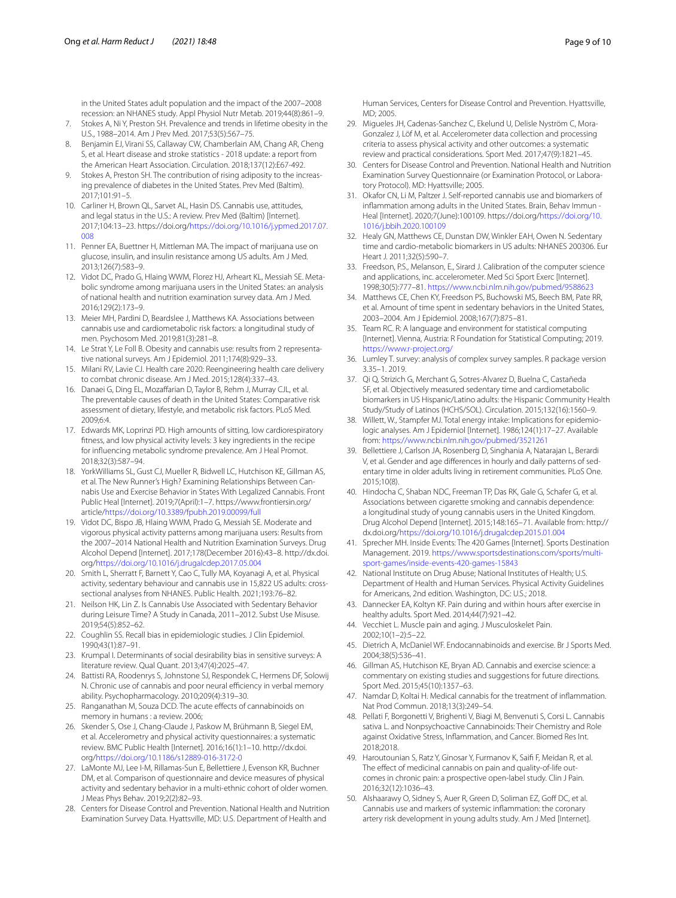in the United States adult population and the impact of the 2007–2008 recession: an NHANES study. Appl Physiol Nutr Metab. 2019;44(8):861–9.

- 7. Stokes A, Ni Y, Preston SH. Prevalence and trends in lifetime obesity in the U.S., 1988–2014. Am J Prev Med. 2017;53(5):567–75.
- 8. Benjamin EJ, Virani SS, Callaway CW, Chamberlain AM, Chang AR, Cheng S, et al. Heart disease and stroke statistics - 2018 update: a report from the American Heart Association. Circulation. 2018;137(12):E67-492.
- <span id="page-10-0"></span>9. Stokes A, Preston SH. The contribution of rising adiposity to the increasing prevalence of diabetes in the United States. Prev Med (Baltim). 2017;101:91–5.
- <span id="page-10-1"></span>10. Carliner H, Brown QL, Sarvet AL, Hasin DS. Cannabis use, attitudes, and legal status in the U.S.: A review. Prev Med (Baltim) [Internet]. 2017;104:13–23. https://doi.org[/https://doi.org/10.1016/j.ypmed.2017.07.](https://doi.org/10.1016/j.ypmed.2017.07.008) [008](https://doi.org/10.1016/j.ypmed.2017.07.008)
- <span id="page-10-2"></span>11. Penner EA, Buettner H, Mittleman MA. The impact of marijuana use on glucose, insulin, and insulin resistance among US adults. Am J Med. 2013;126(7):583–9.
- 12. Vidot DC, Prado G, Hlaing WWM, Florez HJ, Arheart KL, Messiah SE. Metabolic syndrome among marijuana users in the United States: an analysis of national health and nutrition examination survey data. Am J Med. 2016;129(2):173–9.
- 13. Meier MH, Pardini D, Beardslee J, Matthews KA. Associations between cannabis use and cardiometabolic risk factors: a longitudinal study of men. Psychosom Med. 2019;81(3):281–8.
- <span id="page-10-3"></span>14. Le Strat Y, Le Foll B. Obesity and cannabis use: results from 2 representative national surveys. Am J Epidemiol. 2011;174(8):929–33.
- <span id="page-10-4"></span>15. Milani RV, Lavie CJ. Health care 2020: Reengineering health care delivery to combat chronic disease. Am J Med. 2015;128(4):337–43.
- 16. Danaei G, Ding EL, Mozaffarian D, Taylor B, Rehm J, Murray CJL, et al. The preventable causes of death in the United States: Comparative risk assessment of dietary, lifestyle, and metabolic risk factors. PLoS Med. 2009;6:4.
- <span id="page-10-5"></span>17. Edwards MK, Loprinzi PD. High amounts of sitting, low cardiorespiratory ftness, and low physical activity levels: 3 key ingredients in the recipe for infuencing metabolic syndrome prevalence. Am J Heal Promot. 2018;32(3):587–94.
- <span id="page-10-6"></span>18. YorkWilliams SL, Gust CJ, Mueller R, Bidwell LC, Hutchison KE, Gillman AS, et al. The New Runner's High? Examining Relationships Between Cannabis Use and Exercise Behavior in States With Legalized Cannabis. Front Public Heal [Internet]. 2019;7(April):1–7. https://www.frontiersin.org/ article/<https://doi.org/10.3389/fpubh.2019.00099/full>
- <span id="page-10-7"></span>19. Vidot DC, Bispo JB, Hlaing WWM, Prado G, Messiah SE. Moderate and vigorous physical activity patterns among marijuana users: Results from the 2007–2014 National Health and Nutrition Examination Surveys. Drug Alcohol Depend [Internet]. 2017;178(December 2016):43–8. http://dx.doi. org/<https://doi.org/10.1016/j.drugalcdep.2017.05.004>
- <span id="page-10-8"></span>20. Smith L, Sherratt F, Barnett Y, Cao C, Tully MA, Koyanagi A, et al. Physical activity, sedentary behaviour and cannabis use in 15,822 US adults: crosssectional analyses from NHANES. Public Health. 2021;193:76–82.
- <span id="page-10-9"></span>21. Neilson HK, Lin Z. Is Cannabis Use Associated with Sedentary Behavior during Leisure Time? A Study in Canada, 2011–2012. Subst Use Misuse. 2019;54(5):852–62.
- <span id="page-10-10"></span>22. Coughlin SS. Recall bias in epidemiologic studies. J Clin Epidemiol. 1990;43(1):87–91.
- <span id="page-10-11"></span>23. Krumpal I. Determinants of social desirability bias in sensitive surveys: A literature review. Qual Quant. 2013;47(4):2025–47.
- <span id="page-10-12"></span>24. Battisti RA, Roodenrys S, Johnstone SJ, Respondek C, Hermens DF, Solowij N. Chronic use of cannabis and poor neural efficiency in verbal memory ability. Psychopharmacology. 2010;209(4):319–30.
- <span id="page-10-13"></span>25. Ranganathan M, Souza DCD. The acute effects of cannabinoids on memory in humans : a review. 2006;
- <span id="page-10-14"></span>26. Skender S, Ose J, Chang-Claude J, Paskow M, Brühmann B, Siegel EM, et al. Accelerometry and physical activity questionnaires: a systematic review. BMC Public Health [Internet]. 2016;16(1):1–10. http://dx.doi. org/<https://doi.org/10.1186/s12889-016-3172-0>
- <span id="page-10-15"></span>27. LaMonte MJ, Lee I-M, Rillamas-Sun E, Bellettiere J, Evenson KR, Buchner DM, et al. Comparison of questionnaire and device measures of physical activity and sedentary behavior in a multi-ethnic cohort of older women. J Meas Phys Behav. 2019;2(2):82–93.
- <span id="page-10-16"></span>28. Centers for Disease Control and Prevention. National Health and Nutrition Examination Survey Data. Hyattsville, MD: U.S. Department of Health and

Human Services, Centers for Disease Control and Prevention. Hyattsville, MD; 2005.

- <span id="page-10-17"></span>29. Migueles JH, Cadenas-Sanchez C, Ekelund U, Delisle Nyström C, Mora-Gonzalez J, Löf M, et al. Accelerometer data collection and processing criteria to assess physical activity and other outcomes: a systematic review and practical considerations. Sport Med. 2017;47(9):1821–45.
- <span id="page-10-18"></span>30. Centers for Disease Control and Prevention. National Health and Nutrition Examination Survey Questionnaire (or Examination Protocol, or Laboratory Protocol). MD: Hyattsville; 2005.
- <span id="page-10-19"></span>31. Okafor CN, Li M, Paltzer J. Self-reported cannabis use and biomarkers of infammation among adults in the United States. Brain, Behav Immun - Heal [Internet]. 2020;7(June):100109. https://doi.org/[https://doi.org/10.](https://doi.org/10.1016/j.bbih.2020.100109) [1016/j.bbih.2020.100109](https://doi.org/10.1016/j.bbih.2020.100109)
- <span id="page-10-20"></span>32. Healy GN, Matthews CE, Dunstan DW, Winkler EAH, Owen N. Sedentary time and cardio-metabolic biomarkers in US adults: NHANES 200306. Eur Heart J. 2011;32(5):590–7.
- <span id="page-10-21"></span>33. Freedson, P.S., Melanson, E., Sirard J. Calibration of the computer science and applications, inc. accelerometer. Med Sci Sport Exerc [Internet]. 1998;30(5):777–81. <https://www.ncbi.nlm.nih.gov/pubmed/9588623>
- <span id="page-10-22"></span>34. Matthews CE, Chen KY, Freedson PS, Buchowski MS, Beech BM, Pate RR, et al. Amount of time spent in sedentary behaviors in the United States, 2003–2004. Am J Epidemiol. 2008;167(7):875–81.
- <span id="page-10-23"></span>35. Team RC. R: A language and environment for statistical computing [Internet]. Vienna, Austria: R Foundation for Statistical Computing; 2019. <https://www.r-project.org/>
- <span id="page-10-24"></span>36. Lumley T. survey: analysis of complex survey samples. R package version 3.35–1. 2019.
- <span id="page-10-25"></span>37. Qi Q, Strizich G, Merchant G, Sotres-Alvarez D, Buelna C, Castañeda SF, et al. Objectively measured sedentary time and cardiometabolic biomarkers in US Hispanic/Latino adults: the Hispanic Community Health Study/Study of Latinos (HCHS/SOL). Circulation. 2015;132(16):1560–9.
- <span id="page-10-26"></span>38. Willett, W., Stampfer MJ. Total energy intake: Implications for epidemiologic analyses. Am J Epidemiol [Internet]. 1986;124(1):17–27. Available from: <https://www.ncbi.nlm.nih.gov/pubmed/3521261>
- <span id="page-10-27"></span>39. Bellettiere J, Carlson JA, Rosenberg D, Singhania A, Natarajan L, Berardi V, et al. Gender and age diferences in hourly and daily patterns of sedentary time in older adults living in retirement communities. PLoS One. 2015;10(8).
- <span id="page-10-28"></span>40. Hindocha C, Shaban NDC, Freeman TP, Das RK, Gale G, Schafer G, et al. Associations between cigarette smoking and cannabis dependence: a longitudinal study of young cannabis users in the United Kingdom. Drug Alcohol Depend [Internet]. 2015;148:165–71. Available from: http:// dx.doi.org[/https://doi.org/10.1016/j.drugalcdep.2015.01.004](https://doi.org/10.1016/j.drugalcdep.2015.01.004)
- <span id="page-10-29"></span>41. Sprecher MH. Inside Events: The 420 Games [Internet]. Sports Destination Management. 2019. [https://www.sportsdestinations.com/sports/multi](https://www.sportsdestinations.com/sports/multi-sport-games/inside-events-420-games-15843)[sport-games/inside-events-420-games-15843](https://www.sportsdestinations.com/sports/multi-sport-games/inside-events-420-games-15843)
- <span id="page-10-30"></span>42. National Institute on Drug Abuse; National Institutes of Health; U.S. Department of Health and Human Services. Physical Activity Guidelines for Americans, 2nd edition. Washington, DC: U.S.; 2018.
- <span id="page-10-31"></span>43. Dannecker EA, Koltyn KF. Pain during and within hours after exercise in healthy adults. Sport Med. 2014;44(7):921–42.
- <span id="page-10-32"></span>44. Vecchiet L. Muscle pain and aging. J Musculoskelet Pain. 2002;10(1–2):5–22.
- <span id="page-10-33"></span>45. Dietrich A, McDaniel WF. Endocannabinoids and exercise. Br J Sports Med. 2004;38(5):536–41.
- <span id="page-10-34"></span>46. Gillman AS, Hutchison KE, Bryan AD. Cannabis and exercise science: a commentary on existing studies and suggestions for future directions. Sport Med. 2015;45(10):1357–63.
- <span id="page-10-35"></span>47. Namdar D, Koltai H. Medical cannabis for the treatment of infammation. Nat Prod Commun. 2018;13(3):249–54.
- 48. Pellati F, Borgonetti V, Brighenti V, Biagi M, Benvenuti S, Corsi L. Cannabis sativa L. and Nonpsychoactive Cannabinoids: Their Chemistry and Role against Oxidative Stress, Infammation, and Cancer. Biomed Res Int. 2018;2018.
- <span id="page-10-36"></span>49. Haroutounian S, Ratz Y, Ginosar Y, Furmanov K, Saif F, Meidan R, et al. The effect of medicinal cannabis on pain and quality-of-life outcomes in chronic pain: a prospective open-label study. Clin J Pain. 2016;32(12):1036–43.
- <span id="page-10-37"></span>50. Alshaarawy O, Sidney S, Auer R, Green D, Soliman EZ, Goff DC, et al. Cannabis use and markers of systemic infammation: the coronary artery risk development in young adults study. Am J Med [Internet].